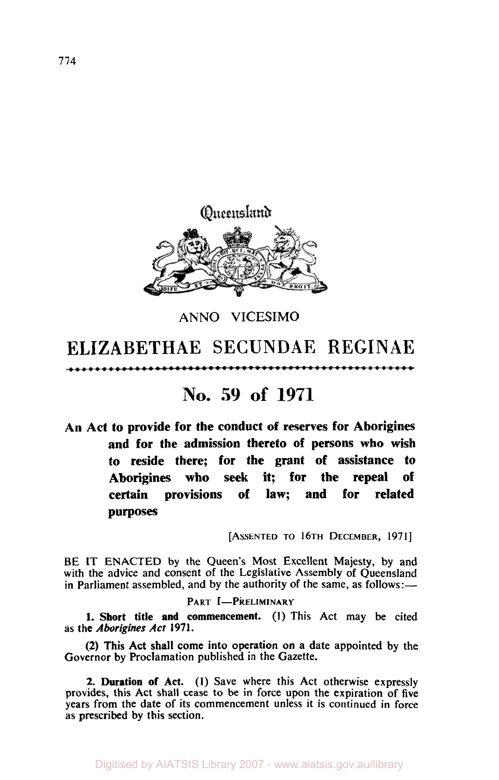

**ANN0 VICESIMO** 

# ELIZABETHAE SECUNDAE REGINAE

## **No. 59 of 1971**

**An Act to provide for the conduct of reserves for Aborigines and for the admission thereto of persons who wish to reside there; for the grant of assistance to Aborigines who seek it; for the repeal of certain provisions of law; and for related purposes** 

[ASSENTED TO16TH DECEMBER, **1971]** 

................

BE **1T** ENACTED by the Queen's Most Excellent Majesty, by and with the advice and consent of the Legislative Assembly of Queensland in Parliament assembled, and by the authority of the same, as follows:—

### PART I-PRELIMINARY

**1. Short title and commencement. (1)** This Act may be cited as the *Aborigines Act* 1971.

(2) This Act shall come into operation on a date appointed by the Governor by Proclamation published in the Gazette.

**2. Duration of Act. (I)** Save where this Act otherwise expressly provides, this Act shall cease to be in force upon the expiration of five years from the date of its commencement unless it is continued in force as prescribed by this section.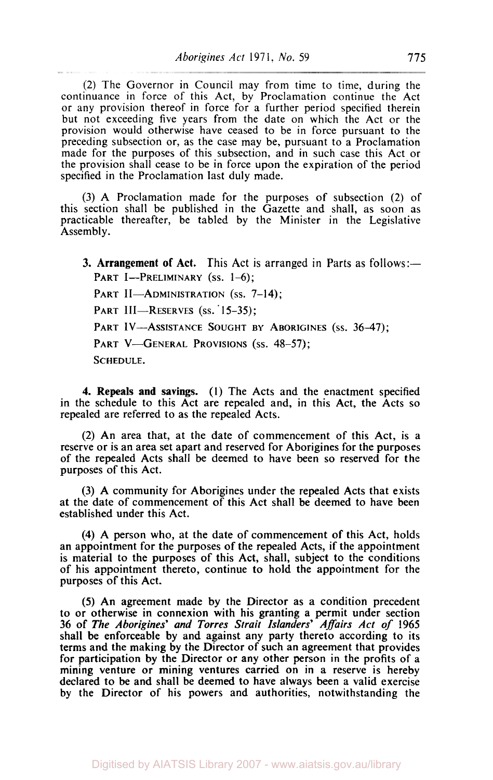(2) The Governor in Council may from time to time, during the continuance in force of this Act, by Proclamation continue the Act or any provision thereof in force for a further period specified therein but not exceeding five years from the date on which the Act or the provision would otherwise have ceased to be in force pursuant to the preceding subsection or, as the case may be, pursuant to a Proclamation made for the purposes of this subsection, and in such case this Act or the provision shall cease to be in force upon the expiration of the period specified in the Proclamation last duly made.

**(3) A** Proclamation made for the purposes of subsection (2) of this section shall be published in the Gazette and shall, as soon as practicable thereafter, be tabled by the Minister in the Legislative Assembly.

**3. Arrangement of Act.** This Act is arranged in Parts as follows:— PART I-PRELIMINARY (ss. 1-6);

PART II-ADMINISTRATION (ss. 7-14);

PART III-RESERVES (ss. 15-35);

PART IV-ASSISTANCE SOUGHT BY ABORIGINES (ss. 36-47);

PART V-GENERAL PROVISIONS (SS. 48-57);

SCHEDULE.

**4.** Repeals and savings. **(I)** The Acts and the enactment specified in the schedule to this Act are repealed and, in this Act, the Acts so repealed are referred to as the repealed Acts.

(2) An area that, at the date of commencement of this Act, is a reserve or is an area set apart and reserved for Aborigines for the purposes of the repealed Acts shall be deemed to have been so reserved for the purposes of this Act.

(3) A community for Aborigines under the repealed Acts that exists at the date of commencement of this Act shall be deemed to have been established under this Act.

**(4)** A person who, at the date of commencement of this Act, holds an appointment for the purposes of the repealed Acts, if the appointment is material to the purposes of this Act, shall, subject to the conditions of his appointment thereto, continue to hold the appointment for the purposes of this Act.

**(5)** An agreement made by the Director as a condition precedent to or otherwise in connexion with his granting a permit under section 36 of The *Aborigines' and Torres Strait Islanders' Affairs Act of* **1965**  shall be enforceable by and against any party thereto according to its terms and the making by the Director of such an agreement that provides for participation by the Director or any other person in the profits of a mining venture or mining ventures carried on in a reserve is hereby declared to be and shall be deemed **to** have always been a valid exercise by the Director of his powers and authorities, notwithstanding the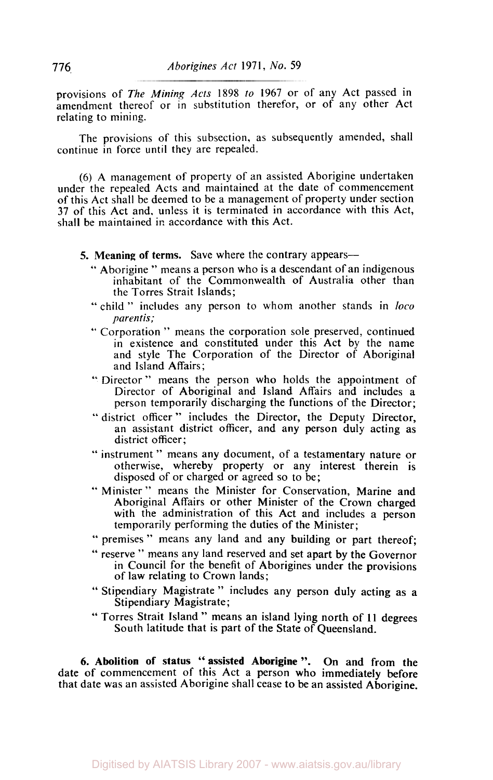provisions of *The Mining Acts* 1898 *to* 1967 or of any Act passed in amendment thereof or in substitution therefor, or of any other Act relating to mining.

The provisions of this subsection, as subsequently amended, shall continue in force until they are repealed.

**(6) A** management of property of an assisted Aborigine undertaken under the repealed Acts and maintained at the date of commencement of this Act shall be deemed to be a management of property under section 37 of this Act and, unless it is terminated in accordance with this Act, shall be maintained in accordance with this Act.

- *5.* **Meaning of terms.** Save where the contrary appears-
	- " Aborigine '' means a person who is a descendant of an indigenous inhabitant of the Commonwealth of Australia other than the Torres Strait Islands;
	- "child" includes any person to whom another stands in *loco parentis;*
	- " Corporation " means the corporation sole preserved, continued in existence and constituted under this Act by the name and style The Corporation of the Director of Aboriginal and Island Affairs;
	- '' Director " means the person who holds the appointment of Director of Aboriginal and Island Affairs and includes a person temporarily discharging the functions of the Director;
	- " district officer " includes the Director, the Deputy Director, an assistant district officer, and any person duly acting as district officer;
	- '' instrument " means any document, of a testamentary nature or otherwise, whereby property or any interest therein is disposed of or charged or agreed so to be;
	- " Minister " means the Minister for Conservation, Marine and Aboriginal Affairs or other Minister of the Crown charged with the administration of this Act and includes a person temporarily performing the duties of the Minister;
	- " premises " means any land and any building or part thereof;
	- " reserve " means any land reserved and set apart by the Governor in Council for the benefit of Aborigines under the provisions of law relating to Crown lands;
	- " Stipendiary Magistrate " includes any person duly acting as a Stipendiary Magistrate;
	- " Torres Strait Island " means an island lying north of 11 degrees South latitude that is part of the State of Queensland.

**6. Abolition of status** " **assisted Aborigine** ". On and from the date of commencement of this Act a person who immediately before that date was an assisted Aborigine shall cease to be an assisted Aborigine.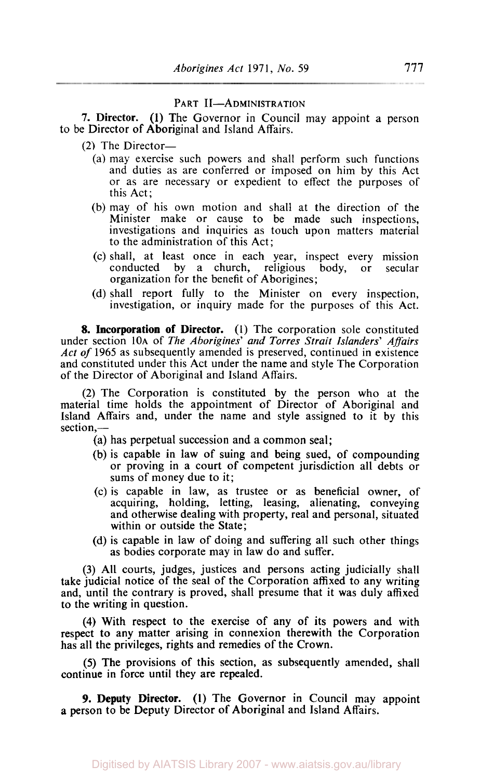#### PART II-ADMINISTRATION

**7.** Director. (1) The Governor in Council may appoint a person to be Director of Aboriginal and Island Affairs.

- **(2)** The Director-
	- (a) may exercise such powers and shall perform such functions and duties as are conferred or imposed on him by this Act or as are necessary or expedient to effect the purposes of this Act;
	- (b) may of his own motion and shall at the direction of the Minister make or cause to be made such inspections, investigations and inquiries as touch upon matters material to the administration of this Act;
	- (c) shall, at least once in each year, inspect every mission conducted by a church, religious body, or secular organization for the benefit of Aborigines;
	- (d) shall report fully to the Minister on every inspection, investigation, or inquiry made for the purposes of this Act.

8. Incorporation of Director. (1) The corporation sole constituted under section 10A of *The Aborigines' and Torres Strait Islanders' Affairs Act of* 1965 as subsequently amended is preserved, continued in existence and constituted under this Act under the name and style The Corporation of the Director of Aboriginal and Island Affairs.

(2) The Corporation is constituted by the person who at the material time holds the appointment of Director of Aboriginal and Island Affairs and, under the name and style assigned to it by this section,-

- (a) has perpetual succession and a common seal;
- (b) is capable in law of suing and being sued, of compounding or proving in a court of competent jurisdiction all debts or sums of money due to it;
- (c) is capable in law, as trustee or as beneficial owner, of acquiring, holding, letting, leasing, alienating, conveying and otherwise dealing with property, real and personal, situated within or outside the State;
- (d) is capable in law of doing and suffering all such other things as bodies corporate may in law do and suffer.

**(3)** All courts, judges, justices and persons acting judicially shall take judicial notice of the seal of the Corporation affixed to any writing and, until the contrary is proved, shall presume that it was duly affixed to the writing in question.

**(4)** With respect to the exercise of any of its powers and with respect to any matter arising in connexion therewith the Corporation has all the privileges, rights and remedies of the Crown.

*(5)* The provisions of this section, as subsequently amended, shall continue in force until they are repealed.

*9.* **Deputy Director. (1)** The Governor in Council may appoint **a** person to be Deputy Director of Aboriginal and Island Affairs.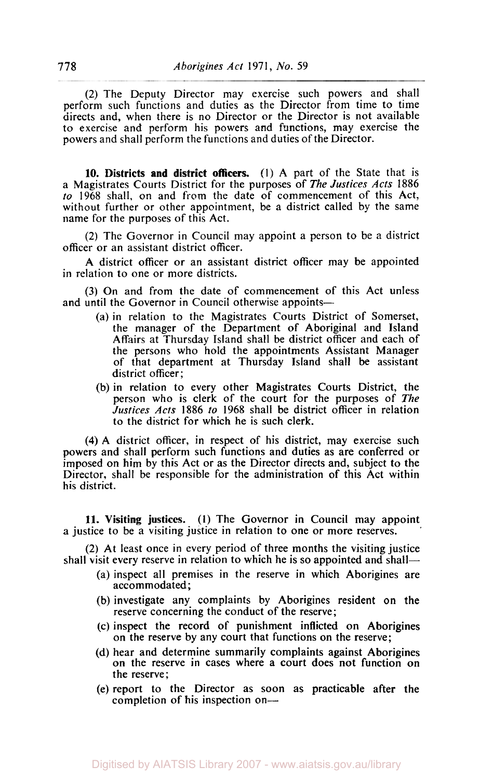(2) The Deputy Director may exercise such powers and shall perform such functions and duties as the Director from time to time directs and, when there is no Director or the Director is not available to exercise and perform his powers and functions, may exercise the powers and shall perform the functions and duties of the Director.

**10.** Districts **and** district officers. (I) A part of the State that is a Magistrates Courts District for the purposes of *The Justices Acts* **1886**  *to* **1968** shall, on and from the date of commencement of this Act, without further or other appointment, be a district called by the same name for the purposes of this Act.

**(2)** The Governor in Council may appoint a person to be a district officer or an assistant district officer.

A district officer or an assistant district officer may be appointed in relation to one or more districts.

**(3)** On and from the date of commencement of this Act unless and until the Governor in Council otherwise appoints-

- (a) in relation to the Magistrates Courts District of Somerset, the manager of the Department **of** Aboriginal and Island Affairs at Thursday Island shall be district officer and each of the persons who hold the appointments Assistant Manager of that department at Thursday Island shall be assistant district officer;
- (b) in relation to every other Magistrates Courts District, the person who is clerk of the court for the purposes of *The Justices Acts* **1886** *to* **1968** shall be district officer in relation to the district for which he is such clerk.

**(4)** A district officer, in respect of his district, may exercise such powers and shall perform such functions and duties as are conferred or imposed on him by this Act or as the Director directs and, subject to the Director, shall be responsible for the administration of this Act within his district.

**11.** Visiting justices. (I) The Governor in Council may appoint a justice to be a visiting justice in relation to one or more reserves. '

**(2)** At least once in every period of three months the visiting justice shall visit every reserve in relation to which he is *so* appointed and shall-

- (a) inspect all premises in the reserve in which Aborigines are accommodated ;
- (b) investigate any complaints by Aborigines resident on the reserve concerning the conduct of the reserve;
- (c) inspect the record **of** punishment inflicted on Aborigines on the reserve by any court that functions on the reserve;
- **(d)** hear and determine summarily complaints against Aborigines on the reserve in cases where a court does not function **on**  the reserve;
- (e) report to the Director as soon as practicable after the completion of his inspection on-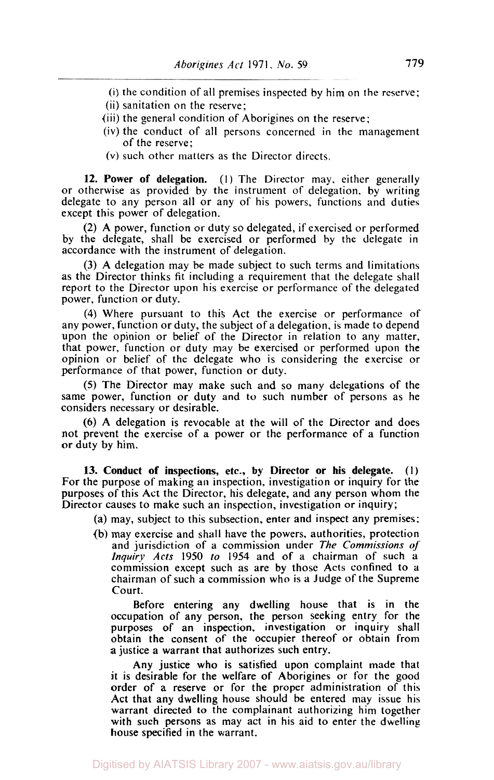- (i) the condition of all premises inspected by him on the reserve;
- (ii) sanitation on the reserve;
- (iii) the general condition of Aborigines on the reserve;
- (iv) the conduct of all persons concerned in the management of the reserve;
- (V) such other matters as the Director directs.

**12. Power of delegation.** (I) The Director may, either generally or otherwise as provided by the instrument of delegation, by writing delegate to any person all or any of his powers, functions and duties except this power of delegation.

**(2)** A power, function or duty so delegated, if exercised or performed by the delegate, shall be exercised or performed by the delegate in accordance with the instrument of delegation.

**(3)** A delegation may be made subject to such terms and limitations as the Director thinks fit including a requirement that the delegate shall report to the Director upon his exercise or performance of the delegated power, function or duty.

(4) Where pursuant to this Act the exercise or performance of any power, function or duty, the subject of a delegation, is made to depend upon the opinion or belief of the Director in relation to any matter, that power, function or duty may be exercised or performed upon the opinion or belief of the delegate who is considering the exercise or performance of that power, function or duty.

*(5)* The Director may make such and so many delegations of the same power, function or duty and to such number of persons as he considers necessary or desirable.

*(6)* A delegation is revocable at the will of the Director and does not prevent the exercise of a power or the performance of a function or duty by him.

**13. Conduct of inspections, etc., by Director or his delegate.** (I) For the purpose of making an inspection, investigation or inquiry for the purposes of this Act the Director, his delegate, and any person whom the Director causes to make such an inspection, investigation or inquiry;

(a) may, subject to this subsection, enter and inspect any premises:

(b) may exercise and shall have the powers. authorities, protection and jurisdiction of a commission under *The Commissions of Inquiry Acts* 1950 *to* 1954 and of a chairman of such a commission except such as are by those Acts confined to **a**  chairman of such a commission who is a Judge of the Supreme Court.

Before entering any dwelling house that is in the occupation of any person, the person seeking entry for the purposes of an inspection, investigation or inquiry shall obtain the consent of the occupier thereof or obtain from a justice a warrant that authorizes such entry.

Any justice who is satisfied upon complaint made that it is desirable for the welfare of Aborigines or for the good order of a reserve or for the proper administration of this Act that any dwelling house should be entered may issue his warrant directed to the complainant authorizing him together with such persons as may act in his aid to enter the dwelling house specified in the warrant.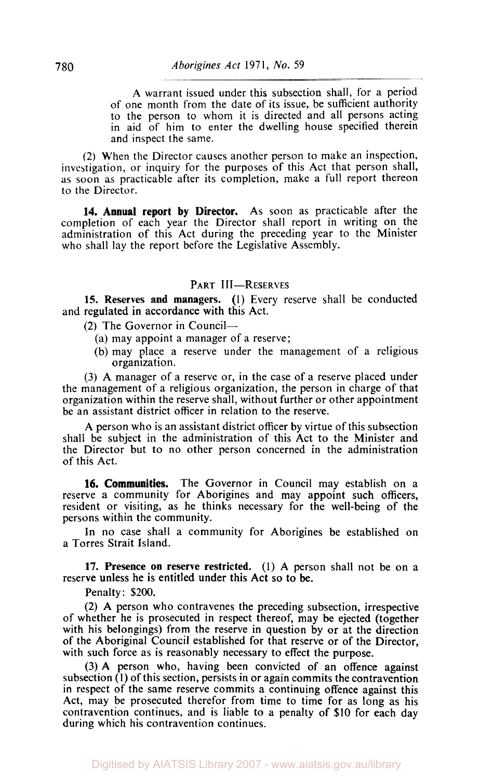A warrant issued under this subsection shall, for a period of one month from the date of its issue, be sufficient authority to the person to whom it is directed and all persons acting in aid of him to enter the dwelling house specified therein and inspect the same.

*(2)* When the Director causes another person to make an inspection, investigation, or inquiry for the purposes of this Act that person shall, **as** soon **as** practicable after its completion, make a full report thereon to the Director.

**14. Annual report by Director.** As soon as practicable after the completion of each year the Director shall report in writing on the administration of this Act during the preceding year to the Minister who shall lay the report before the Legislative Assembly.

#### PART III-RESERVES

**15. Reserves and managers.**  (I) Every reserve shall be conducted and regulated in accordance with this Act.

**(2)** The Governor in Council-

- (a) may appoint a manager of a reserve;
- (b) may place a reserve under the management of a religious organization.

**(3) A** manager of a reserve or, in the case of a reserve placed under the management of a religious organization, the person in charge of that organization within the reserve shall, without further or other appointment be an assistant district officer in relation to the reserve.

A person who is an assistant district officer by virtue of this subsection shall be subject in the administration of this Act to the Minister and the Director but to no other person concerned in the administration of this Act.

**16. Communities.** The Governor in Council may establish on a reserve a community for Aborigines and may appoint such officers, resident or visiting, as he thinks necessary for the well-being of the persons within the community.

In no case shall a community for Aborigines be established on a Torres Strait Island.

**17. Presence on reserve restricted. (1)** A person shall not be on a reserve unless he is entitled under this Act so to be.

Penalty: \$200.

(2) **A** person who contravenes the preceding subsection, irrespective of whether he **is** prosecuted in respect thereof, may be ejected (together with his belongings) from the reserve in question by or at the direction of the Aboriginal Council established for that reserve or **of** the Director, with such force as **is** reasonably necessary to effect the purpose.

**(3)** A person who, having been convicted **of** an offence against subsection **(1)** of this section, persists in or again commits the contravention in respect **of** the same reserve commits a continuing offence against this Act, may be prosecuted therefor from time to time for as long as his contravention continues, and is liable to a penalty **of \$10** for each day during which his contravention continues.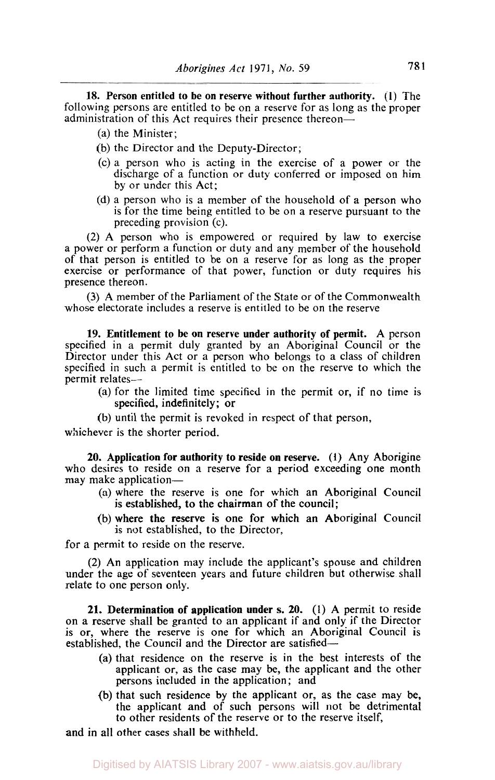**18. Person entitled to be on reserve without further authority. (1)** The following persons are entitled to be on a reserve for as long as the proper administration of this Act requires their presence thereon-

- (a) the Minister;
- (b) the Director and the Deputy-Director;
- (c) a person who is acting in the exercise of a power or the discharge of a function or duty conferred or imposed on him by or under this Act;
- (d) a person who is a member of the household of a person who is for the time being entitled to be on a reserve pursuant to the preceding provision (c).

(2) A person who is empowered or required by law to exercise a power or perform a function or duty and any member of the household of that person is entitled to be on a reserve for as long as the proper exercise or performance of that power, function or duty requires his presence thereon.

**(3)** A member of the Parliament of the State or of the Commonwealth whose electorate includes a reserve is entitled to be on the reserve

**19. Entitlement to be on reserve under authority of permit.** A person specified in a permit duly granted by an Aboriginal Council or the Director under this Act or a person who belongs to a class of children specified in such a permit is entitled to be on the reserve to which the permit relates-

- (a) for the limited time specified in the permit or, if no time is specified, indefinitely; or
- (b) until the permit is revoked in respect of that person,

whichever is the shorter period.

**20. Application for authority to reside on reserve. (1)** Any Aborigine who desires to reside on **a** reserve for a period exceeding one month may make application-

- (a) where the reserve is one for which an Aboriginal Council is established, to the chairman of the council:
- (b) where the reserve is one for which an Aboriginal Council is not established, to the Director,

for a permit to reside on the reserve.

**(2)** An application may include the applicant's spouse and children under the age of seventeen years and future children but otherwise shall relate to one person only.

**21. Determination of application under** *s.* **20.** (1) A permit to reside on a reserve shall be granted to an applicant if and only if the Director is or, where the reserve is one for which an Aboriginal Council is established, the Council and the Director are satisfied-

- (a) that residence on the reserve is in the best interests of the applicant or, as the case may be, the applicant and the other persons included in the application; and
- (b) that such residence by the applicant or, as the case may be, the applicant and of such persons will not be detrimental to other residents of the reserve or to the reserve itself,

and in all other cases shall be withheld.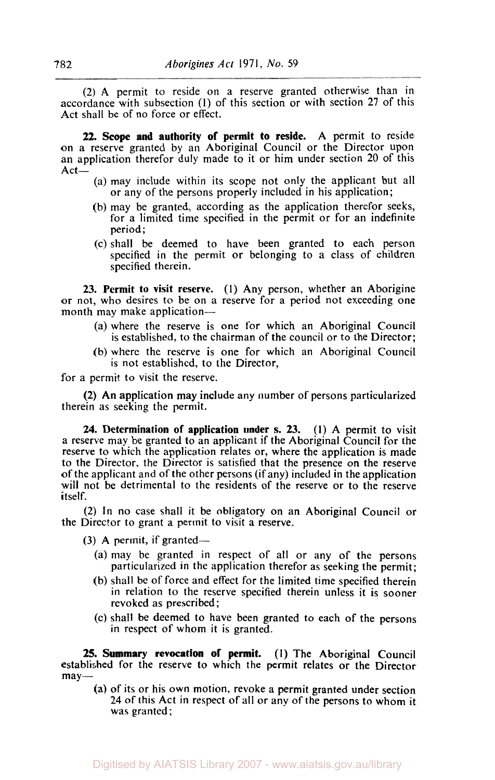*(2)* A permit to reside on a reserve granted otherwise than in accordance with subsection **(1)** of this section or with section 27 of this Act shall be of no force or effect.

**22. Scope and authority of permit to reside.** A permit to reside on a reserve granted by an Aboriginal Council or the Director upon an application therefor duly made to it or him under section 20 of this Act-

- (a) may include within its scope not only the applicant but all or any of the persons properly included in his application;
- (b) may be granted, according as the application therefor seeks, for a limited time specified in the permit or for an indefinite period ;
- (c) shall be deemed to have been granted to each person specified in the permit or belonging to a class of children specified therein.

**23. Permit to visit reserve. (1)** Any person, whether an Aborigine or not, who desires to be on a reserve for a period not exceeding one month may make application-

- (a) where the reserve is one for which an Aboriginal Council is established, to the chairman of the council or to the Director;
- (b) where the reserve is one for which an Aboriginal Council is not established, to the Director,

for a permit to visit the reserve.

therein as seeking the permit. *(2)* An application may include any number of persons particularized

**24. Determination of application under s. 23. (1)** A permit to visit a reserve may be granted to an applicant if the Aboriginal Council for the reserve to which the application relates or, where the application is made to the Director, the Director is satisfied that the presence on the reserve of the applicant and of the other persons (if any) included in the application will not be detrimental to the residents of the reserve or to the reserve itself.

**(2)** In no case shall it be obligatory on an Aboriginal Council or the Director to grant a permit to visit a reserve.

**(3)** A permit, if granted-

- (a) may be granted in respect of all or any of the persons particularized in the application therefor as seeking the permit;
- (b) shall be of force and effect for the limited time specified therein in relation to the reserve specified therein unless it is sooner revoked as prescribed;
- (c) shall be deemed to have been granted to each **of** the persons in respect of whom it is granted.

established for the reserve to which the permit relates or the Director may- 25. Summary revocation of permit. (1) The Aboriginal Council

(a) of its or his own motion, revoke a permit granted under section **24** of this Act in respect of all or any of the persons to whom it was granted;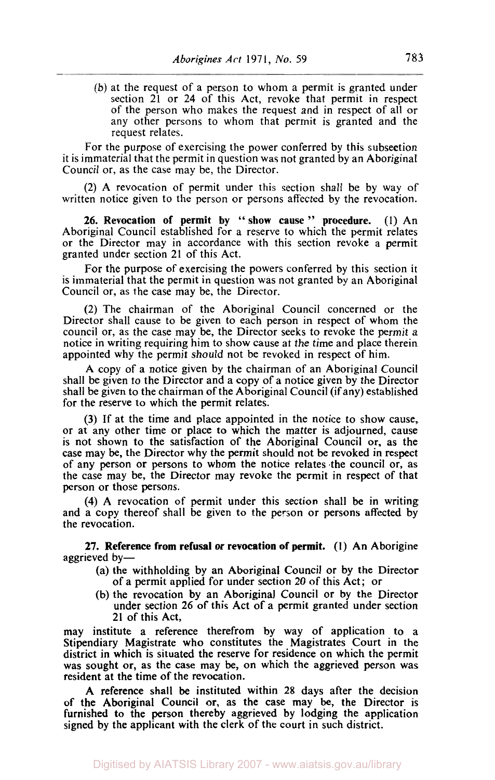(b) at the request of a person to whom a permit is granted under section **21** or **24** of this Act, revoke that permit in respect of the person who makes the request and in respect of all or any other persons to whom that permit is granted and the request relates.

For the purpose of exercising the power conferred by this subsection it is immaterial that the permit in question was not granted by an Aboriginal Council or, as the case may be, the Director.

(2) A revocation of permit under this section shall be by way of written notice given to the person or persons affected by the revocation.

26. Revocation of permit by " show cause " procedure. (1) An Aboriginal Council established for a reserve to which the permit relates or the Director may in accordance with this section revoke a permit granted under section 21 of this Act.

For the purpose of exercising the powers conferred by this section it is immaterial that the permit in question was not granted by an Aboriginal Council or, as the case may be, the Director.

**(2)** The chairman of the Aboriginal Council concerned or the Director shall cause to be given to each person in respect of whom the council or, as the case may be, the Director seeks to revoke the permit a notice in writing requiring him to show cause at the time and place therein appointed why the permit should not be revoked in respect of him.

A copy of a notice given by the chairman of an Aboriginal Council shall be given to the Director and a copy of a notice given by the Director shall be given to the chairman of the Aboriginal Council (if any) established for the reserve to which the permit relates.

(3) If at the time and place appointed in the notice to show cause, or at any other time or place to which the matter is adjourned, cause is not shown to the satisfaction of the Aboriginal Council or, as the case may be, the Director why the permit should not be revoked in respect of any person or persons to whom the notice relates the council or, as the case may be, the Director may revoke the permit in respect of that person or those persons.

**(4)** A revocation of permit under this section shall be in writing and a copy thereof shall be given to the person or persons affected by the revocation.

**27.** Reference from refusal **or** revocation of permit. **(1)** An Aborigine aggrieved by-

- (a) the withholding by an Aboriginal Council or by the Director of a permit applied for under section 20 of this Act; or
- (b) the revocation by an Aboriginal Council or by the Director under section 26 of this Act of a permit granted under section 21 of this Act,

may institute a reference therefrom by way of application to a Stipendiary Magistrate who constitutes the Magistrates Court in the district in which is situated the reserve for residence on which the permit was sought or, as the case may be, on which the aggrieved person was resident at the time of the revocation.

A reference shall **be** instituted within 28 days after the decision of the Aboriginal Council or, as the case may be, the Director is furnished to the person thereby aggrieved by lodging the application signed by the applicant with the clerk of the court in such district.